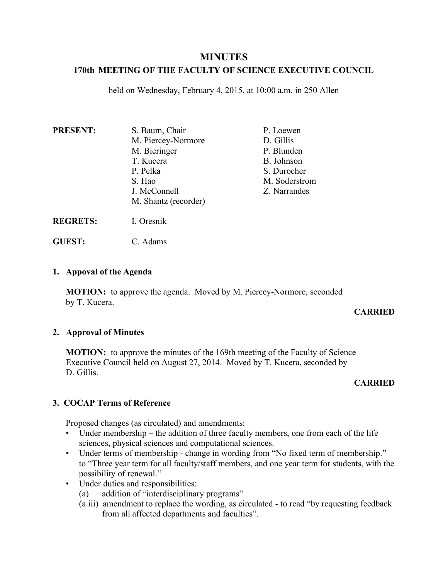# **MINUTES**

# **170th MEETING OF THE FACULTY OF SCIENCE EXECUTIVE COUNCIL**

held on Wednesday, February 4, 2015, at 10:00 a.m. in 250 Allen

| <b>PRESENT:</b> | S. Baum, Chair       | P. Loewen     |
|-----------------|----------------------|---------------|
|                 | M. Piercey-Normore   | D. Gillis     |
|                 | M. Bieringer         | P. Blunden    |
|                 | T. Kucera            | B. Johnson    |
|                 | P. Pelka             | S. Durocher   |
|                 | S. Hao               | M. Soderstrom |
|                 | J. McConnell         | Z. Narrandes  |
|                 | M. Shantz (recorder) |               |
|                 |                      |               |

**REGRETS:** I. Oresnik

**GUEST:** C. Adams

## **1. Appoval of the Agenda**

**MOTION:** to approve the agenda. Moved by M. Piercey-Normore, seconded by T. Kucera.

## **CARRIED**

## **2. Approval of Minutes**

**MOTION:** to approve the minutes of the 169th meeting of the Faculty of Science Executive Council held on August 27, 2014. Moved by T. Kucera, seconded by D. Gillis

## **CARRIED**

## **3. COCAP Terms of Reference**

Proposed changes (as circulated) and amendments:

- Under membership the addition of three faculty members, one from each of the life sciences, physical sciences and computational sciences.
- Under terms of membership change in wording from "No fixed term of membership." to "Three year term for all faculty/staff members, and one year term for students, with the possibility of renewal."
- Under duties and responsibilities:
	- (a) addition of "interdisciplinary programs"
	- (a iii) amendment to replace the wording, as circulated to read "by requesting feedback from all affected departments and faculties".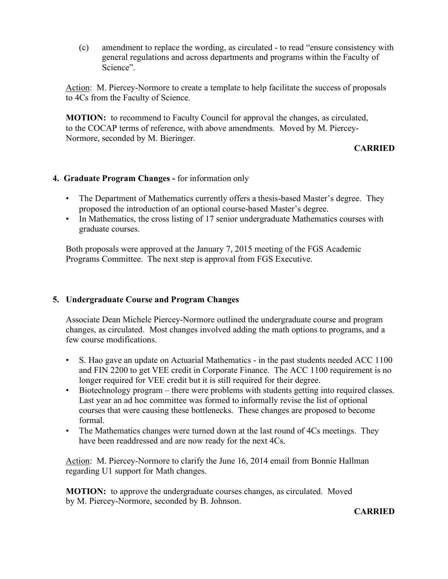(c) amendment to replace the wording, as circulated - to read "ensure consistency with general regulations and across departments and programs within the Faculty of Science".

Action: M. Piercey-Normore to create a template to help facilitate the success of proposals to 4Cs from the Faculty of Science.

**MOTION:** to recommend to Faculty Council for approval the changes, as circulated, to the COCAP terms of reference, with above amendments. Moved by M. Piercey-Normore, seconded by M. Bieringer.

## **CARRIED**

#### **4. Graduate Program Changes -** for information only

- The Department of Mathematics currently offers a thesis-based Master's degree. They proposed the introduction of an optional course-based Master's degree.
- In Mathematics, the cross listing of 17 senior undergraduate Mathematics courses with graduate courses.

Both proposals were approved at the January 7, 2015 meeting of the FGS Academic Programs Committee. The next step is approval from FGS Executive.

## **5. Undergraduate Course and Program Changes**

Associate Dean Michele Piercey-Normore outlined the undergraduate course and program changes, as circulated. Most changes involved adding the math options to programs, and a few course modifications.

- S. Hao gave an update on Actuarial Mathematics in the past students needed ACC 1100 and FIN 2200 to get VEE credit in Corporate Finance. The ACC 1100 requirement is no longer required for VEE credit but it is still required for their degree.
- Biotechnology program there were problems with students getting into required classes. Last year an ad hoc committee was formed to informally revise the list of optional courses that were causing these bottlenecks. These changes are proposed to become formal.
- The Mathematics changes were turned down at the last round of 4Cs meetings. They have been readdressed and are now ready for the next 4Cs.

Action: M. Piercey-Normore to clarify the June 16, 2014 email from Bonnie Hallman regarding U1 support for Math changes.

**MOTION:** to approve the undergraduate courses changes, as circulated. Moved by M. Piercey-Normore, seconded by B. Johnson.

#### **CARRIED**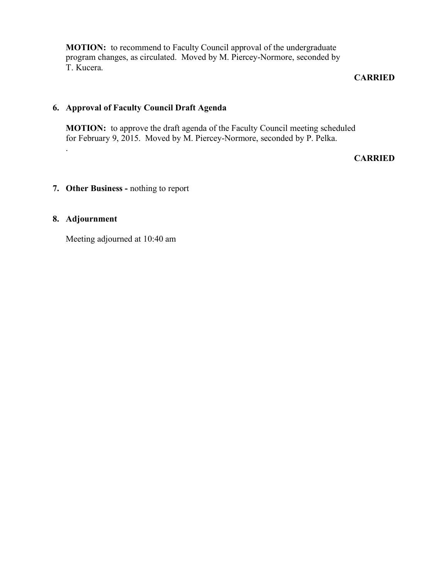**MOTION:** to recommend to Faculty Council approval of the undergraduate program changes, as circulated. Moved by M. Piercey-Normore, seconded by T. Kucera.

#### **CARRIED**

## **6. Approval of Faculty Council Draft Agenda**

**MOTION:** to approve the draft agenda of the Faculty Council meeting scheduled for February 9, 2015. Moved by M. Piercey-Normore, seconded by P. Pelka.

#### **CARRIED**

# **7. Other Business -** nothing to report

#### **8. Adjournment**

.

Meeting adjourned at 10:40 am